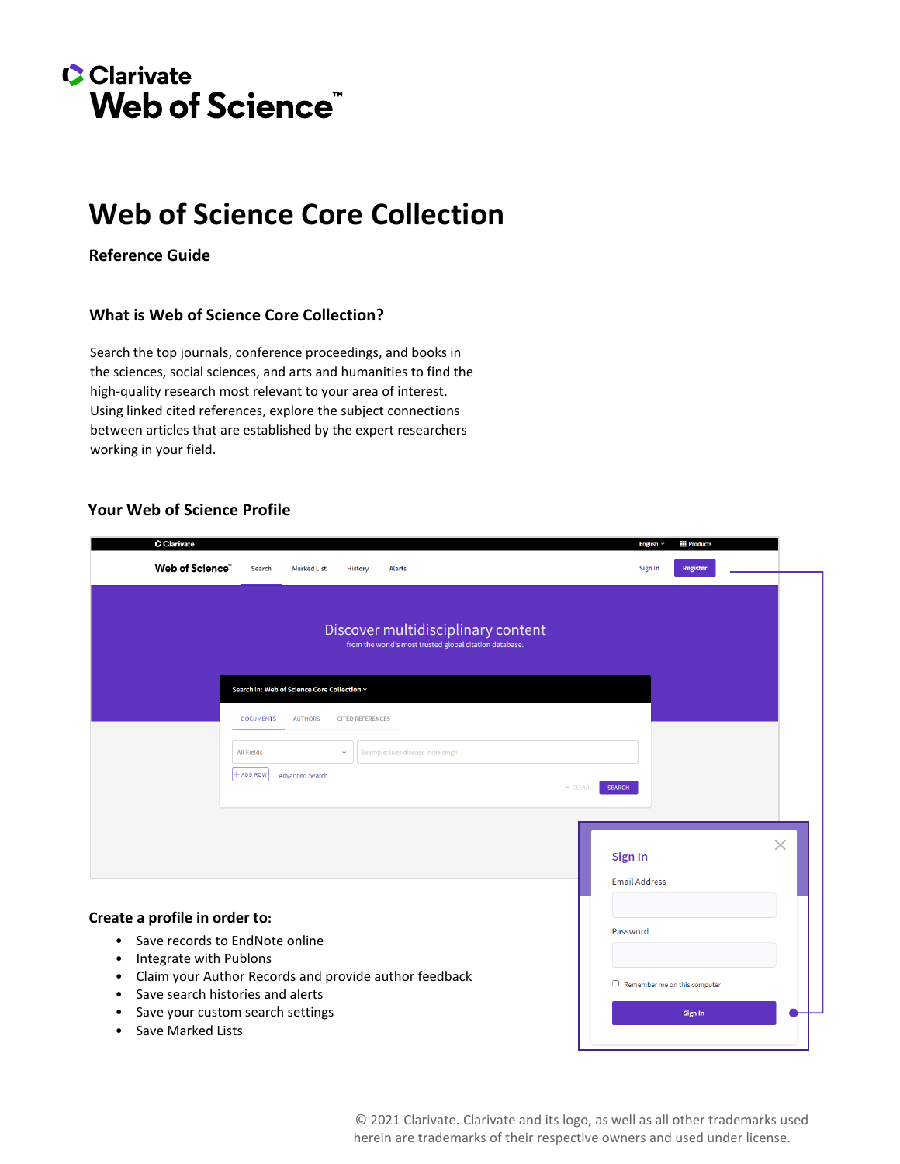# **C**Clarivate **Web of Science"**

# **Web of Science Core Collection**

**Reference Guide**

### **What is Web of Science Core Collection?**

Search the top journals, conference proceedings, and books in the sciences, social sciences, and arts and humanities to find the high-quality research most relevant to your area of interest. Using linked cited references, explore the subject connections between articles that are established by the expert researchers working in your field.

### **Your Web of Science Profile**

| Clarivate                                                                                                                                                                                                          |                                                                                                                                                                                         | English $\sim$<br><b>iii</b> Products                                              |
|--------------------------------------------------------------------------------------------------------------------------------------------------------------------------------------------------------------------|-----------------------------------------------------------------------------------------------------------------------------------------------------------------------------------------|------------------------------------------------------------------------------------|
| Web of Science"                                                                                                                                                                                                    | <b>Marked List</b><br>Search<br><b>History</b><br><b>Alerts</b>                                                                                                                         | <b>Register</b><br>Sign In                                                         |
|                                                                                                                                                                                                                    | Discover multidisciplinary content<br>from the world's most trusted global citation database.                                                                                           |                                                                                    |
|                                                                                                                                                                                                                    | Search in: Web of Science Core Collection ~<br><b>DOCUMENTS</b><br><b>AUTHORS</b><br><b>CITED REFERENCES</b><br><b>All Fields</b><br>Example: liver disease india singh<br>$\checkmark$ |                                                                                    |
|                                                                                                                                                                                                                    | $+$ ADD ROW<br><b>Advanced Search</b><br>$\times$ CLEAR                                                                                                                                 | <b>SEARCH</b><br>$\times$<br>Sign In                                               |
| Create a profile in order to:<br>Save records to EndNote online<br>$\bullet$<br>Integrate with Publons<br>٠<br>٠<br>Save search histories and alerts<br>٠<br>Save your custom search settings<br>Save Marked Lists | Claim your Author Records and provide author feedback                                                                                                                                   | <b>Email Address</b><br>Password<br>$\Box$ Remember me on this computer<br>Sign In |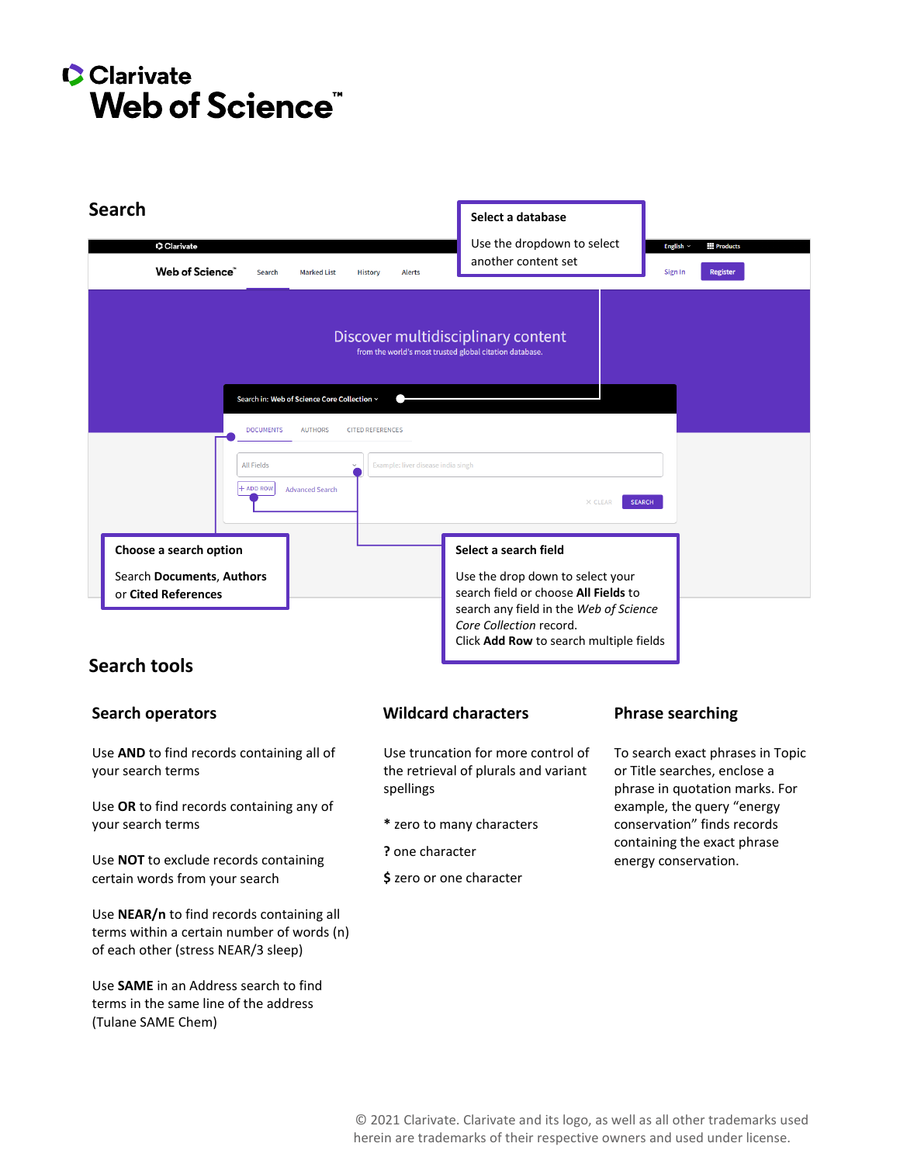# **C** Clarivate Web of Science<sup>"</sup>



# **Search tools**

Use **AND** to find records containing all of your search terms

Use **OR** to find records containing any of your search terms

Use **NOT** to exclude records containing certain words from your search

Use **NEAR/n** to find records containing all terms within a certain number of words (n) of each other (stress NEAR/3 sleep)

Use **SAME** in an Address search to find terms in the same line of the address (Tulane SAME Chem)

### **Search operators The Construction Constraint Constraint Mildcard characters Phrase searching**

Use truncation for more control of the retrieval of plurals and variant spellings

- **\*** zero to many characters
- **?** one character
- **\$** zero or one character

To search exact phrases in Topic or Title searches, enclose a phrase in quotation marks. For example, the query "energy conservation" finds records containing the exact phrase energy conservation.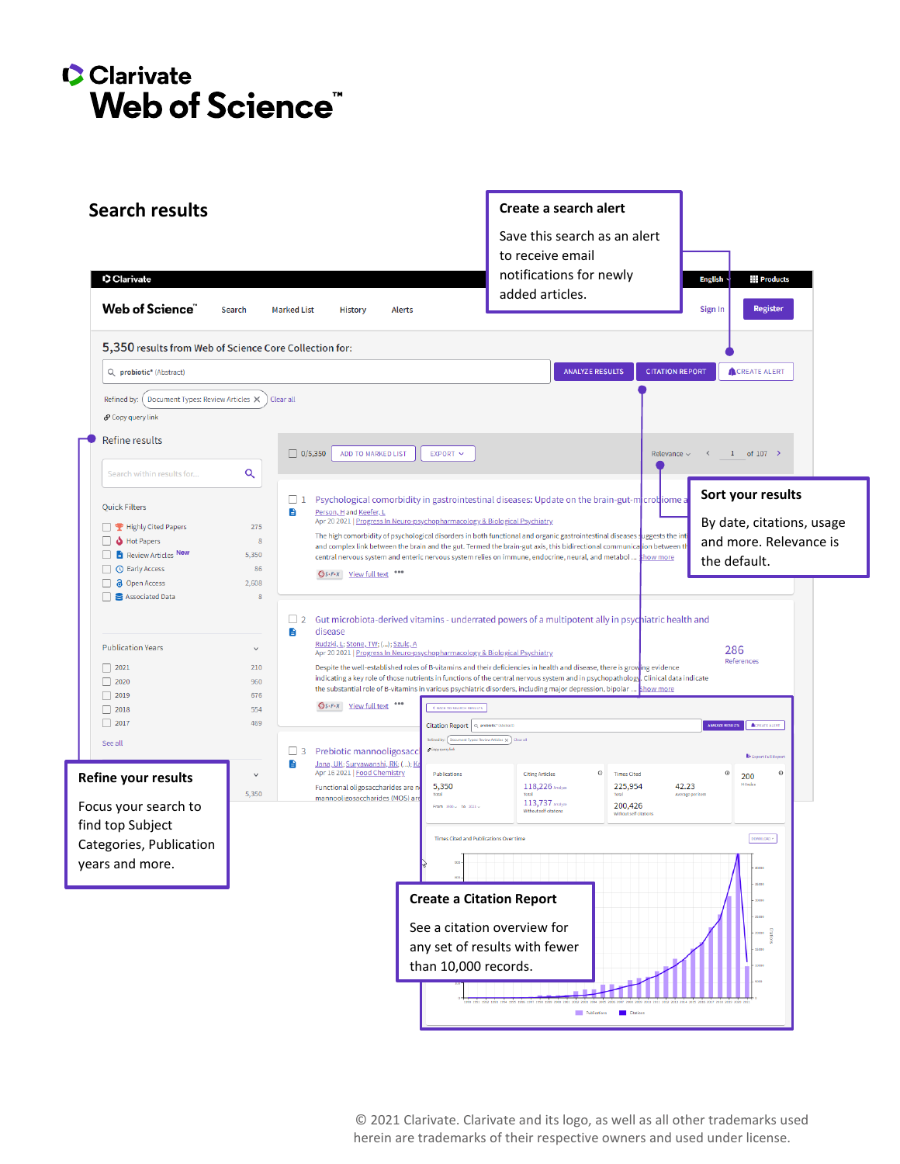# **Clarivate** Web of Science"

| <b>Search results</b>                                                                                                                                                                                                   | Create a search alert                                                                                                                                                                                                                                                                                                                                                                                                                                                                                                                                                                                                                                                                                                                                                                                         |                                                                                                            |  |  |
|-------------------------------------------------------------------------------------------------------------------------------------------------------------------------------------------------------------------------|---------------------------------------------------------------------------------------------------------------------------------------------------------------------------------------------------------------------------------------------------------------------------------------------------------------------------------------------------------------------------------------------------------------------------------------------------------------------------------------------------------------------------------------------------------------------------------------------------------------------------------------------------------------------------------------------------------------------------------------------------------------------------------------------------------------|------------------------------------------------------------------------------------------------------------|--|--|
|                                                                                                                                                                                                                         | Save this search as an alert<br>to receive email                                                                                                                                                                                                                                                                                                                                                                                                                                                                                                                                                                                                                                                                                                                                                              |                                                                                                            |  |  |
| Clarivate                                                                                                                                                                                                               | notifications for newly                                                                                                                                                                                                                                                                                                                                                                                                                                                                                                                                                                                                                                                                                                                                                                                       | <b>English</b><br><b>Products</b>                                                                          |  |  |
| Web of Science"                                                                                                                                                                                                         | added articles.<br>Search<br><b>Marked List</b><br><b>Alerts</b><br><b>History</b>                                                                                                                                                                                                                                                                                                                                                                                                                                                                                                                                                                                                                                                                                                                            | <b>Register</b><br>Sign In                                                                                 |  |  |
|                                                                                                                                                                                                                         | 5,350 results from Web of Science Core Collection for:                                                                                                                                                                                                                                                                                                                                                                                                                                                                                                                                                                                                                                                                                                                                                        |                                                                                                            |  |  |
| Q probiotic* (Abstract)                                                                                                                                                                                                 | <b>ANALYZE RESULTS</b>                                                                                                                                                                                                                                                                                                                                                                                                                                                                                                                                                                                                                                                                                                                                                                                        | <b>CITATION REPORT</b><br><b>ACREATE ALERT</b>                                                             |  |  |
| Refined by:<br>Document Types: Review Articles X                                                                                                                                                                        | Clear all                                                                                                                                                                                                                                                                                                                                                                                                                                                                                                                                                                                                                                                                                                                                                                                                     |                                                                                                            |  |  |
| o Copy query link                                                                                                                                                                                                       |                                                                                                                                                                                                                                                                                                                                                                                                                                                                                                                                                                                                                                                                                                                                                                                                               |                                                                                                            |  |  |
| Refine results                                                                                                                                                                                                          | $\Box$ 0/5,350<br><b>ADD TO MARKED LIST</b><br>$EXPORT$ $\sim$                                                                                                                                                                                                                                                                                                                                                                                                                                                                                                                                                                                                                                                                                                                                                | 1 of $107$ ><br>Relevance $\sim$                                                                           |  |  |
| Search within results for                                                                                                                                                                                               | Q                                                                                                                                                                                                                                                                                                                                                                                                                                                                                                                                                                                                                                                                                                                                                                                                             |                                                                                                            |  |  |
| <b>Quick Filters</b><br><b>P</b> Highly Cited Papers<br><b>Hot Papers</b><br>ه<br><b>Review Articles New</b><br>$\Box$ $\blacksquare$<br><b>O</b> Early Access<br>⊟ ∂<br><b>Open Access</b><br><b>B</b> Associated Data | $\Box$ 1<br>Psychological comorbidity in gastrointestinal diseases: Update on the brain-gut-microbiome a<br>e<br>Person, H and Keefer, L<br>Apr 20 2021   Progress In Neuro-psychopharmacology & Biological Psychiatry<br>275<br>The high comorbidity of psychological disorders in both functional and organic gastrointestinal diseases suggests the inti<br>8<br>and complex link between the brain and the gut. Termed the brain-gut axis, this bidirectional communication between t<br>5,350<br>central nervous system and enteric nervous system relies on immune, endocrine, neural, and metabol  \$how more<br>86<br><b>GS-F-X</b> View full text ***<br>2,608<br>8                                                                                                                                  | Sort your results<br>By date, citations, usage<br>and more. Relevance is<br>the default.                   |  |  |
| <b>Publication Years</b><br>$\Box$ 2018<br>$\Box$ 2017                                                                                                                                                                  | Gut microbiota-derived vitamins - underrated powers of a multipotent ally in psychiatric health and<br>$\sqrt{2}$<br>disease<br>B<br>Rudzki, L; Stone, TW; (); Szulc, A<br>$\checkmark$<br>Apr 20 2021   Progress In Neuro-psychopharmacology & Biological Psychiatry<br>Despite the well-established roles of B-vitamins and their deficiencies in health and disease, there is growing evidence<br>210<br>indicating a key role of those nutrients in functions of the central nervous system and in psychopathology<br>960<br>the substantial role of B-vitamins in various psychiatric disorders, including major depression, bipolar<br><b>Show more</b><br>676<br><b>Gs-F-X</b> <u>View full text</u> ***<br><b>K BACK TO SEARCH RESULTS</b><br>554<br>469<br>Citation Report   Q. probiotic* (Abstract | 286<br>References<br>Clinical data indicate<br>ANALYZE RESULTS<br><b>ACREATE ALERT</b>                     |  |  |
| See all                                                                                                                                                                                                                 | Refined by: Document Types: Review Articles X Dear all                                                                                                                                                                                                                                                                                                                                                                                                                                                                                                                                                                                                                                                                                                                                                        |                                                                                                            |  |  |
| <b>Refine your results</b><br>Focus your search to                                                                                                                                                                      | Copy query link<br>$\Box$ 3<br>Prebiotic mannooligosacc<br>B<br>Jana, UK; Suryawanshi, RK; (); K<br>Apr 16 2021   Food Chemistry<br>Publications<br>$_{\odot}$<br><b>Citing Articles</b><br><b>Times Cited</b><br>$\checkmark$<br>5,350<br>118,226 Analyze<br>225,954<br>Functional oligosaccharides are n<br>5,350<br>Total<br>Total<br>mannooligosaccharides (MOS) are<br>113,737 Analyze<br>200,426<br>From $1900 \times$ to $2021 \times$<br>Without self citations<br>Without self citation                                                                                                                                                                                                                                                                                                              | <b>B</b> Export Full Repor<br>$^\circ$<br>$^{\circ}$<br>200<br><b>H-Index</b><br>42.23<br>Average per item |  |  |
| find top Subject                                                                                                                                                                                                        | <b>Times Cited and Publications Over time</b>                                                                                                                                                                                                                                                                                                                                                                                                                                                                                                                                                                                                                                                                                                                                                                 |                                                                                                            |  |  |
| Categories, Publication                                                                                                                                                                                                 |                                                                                                                                                                                                                                                                                                                                                                                                                                                                                                                                                                                                                                                                                                                                                                                                               | DOWNLOAD ~                                                                                                 |  |  |
| years and more.                                                                                                                                                                                                         |                                                                                                                                                                                                                                                                                                                                                                                                                                                                                                                                                                                                                                                                                                                                                                                                               |                                                                                                            |  |  |
|                                                                                                                                                                                                                         | <b>Create a Citation Report</b><br>See a citation overview for<br>any set of results with fewer<br>than 10,000 records.<br>Publications<br><b>Citation</b>                                                                                                                                                                                                                                                                                                                                                                                                                                                                                                                                                                                                                                                    |                                                                                                            |  |  |

© 2021 Clarivate. Clarivate and its logo, as well as all other trademarks used herein are trademarks of their respective owners and used under license.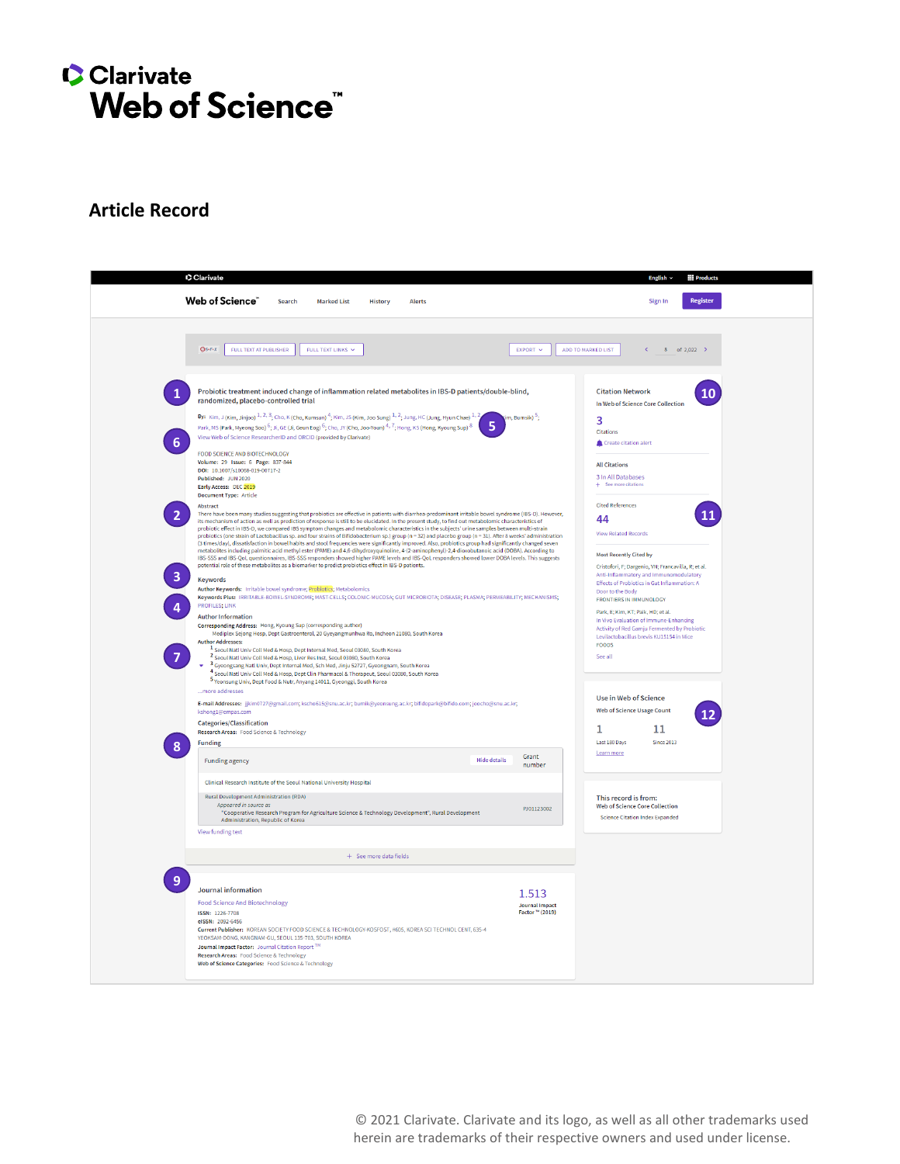# Clarivate Web of Science"

# **Article Record**

| Clarivate                                |                                                                                                                                                                                                                                                                                                                                                                                                                                                                                                                                                                                                                                                                                                                                                                                                                                                                                                                                                                                                                                                                                                        |                     |                                                                    |                                                                                                                | <b>Products</b><br>English $\sim$                                                                                                             |  |
|------------------------------------------|--------------------------------------------------------------------------------------------------------------------------------------------------------------------------------------------------------------------------------------------------------------------------------------------------------------------------------------------------------------------------------------------------------------------------------------------------------------------------------------------------------------------------------------------------------------------------------------------------------------------------------------------------------------------------------------------------------------------------------------------------------------------------------------------------------------------------------------------------------------------------------------------------------------------------------------------------------------------------------------------------------------------------------------------------------------------------------------------------------|---------------------|--------------------------------------------------------------------|----------------------------------------------------------------------------------------------------------------|-----------------------------------------------------------------------------------------------------------------------------------------------|--|
|                                          | <b>Web of Science</b><br>Search<br><b>Marked List</b><br><b>History</b><br><b>Alerts</b>                                                                                                                                                                                                                                                                                                                                                                                                                                                                                                                                                                                                                                                                                                                                                                                                                                                                                                                                                                                                               |                     |                                                                    |                                                                                                                | <b>Register</b><br>Sign In                                                                                                                    |  |
| $Gs-FX$                                  | FULL TEXT AT PUBLISHER<br>FULL TEXT LINKS                                                                                                                                                                                                                                                                                                                                                                                                                                                                                                                                                                                                                                                                                                                                                                                                                                                                                                                                                                                                                                                              |                     | EXPORT V                                                           | ADD TO MARKED LIST                                                                                             | $8$ of 2.022 >                                                                                                                                |  |
| 6                                        | Probiotic treatment induced change of inflammation related metabolites in IBS-D patients/double-blind,<br>randomized, placebo-controlled trial<br>By: Kim, J (Kim, Jinjoo) $1, 2, 3$ ; Cho, K (Cho, Kumsun) $4$ ; Kim, JS (Kim, Joo Sung) $1, 2$ ; Jung, HC (Jung, Hyun Chae) $1, 2$<br>Park, MS (Park, Myeong Soo) $6$ ; Ji, GE (Ji, Geun Eog) $6$ ; Cho, JY (Cho, Joo-Youn) $4$ , $7$ ; Hong, KS (Hong, Kyoung Sup) $8$<br>View Web of Science ResearcherID and ORCID (provided by Clarivate)<br>FOOD SCIENCE AND BIOTECHNOLOGY                                                                                                                                                                                                                                                                                                                                                                                                                                                                                                                                                                      |                     | m, Bumsik) <sup>5</sup> ;                                          | <b>Citation Network</b><br>In Web of Science Core Collection<br>3<br><b>Citations</b><br>Create citation alert | 10                                                                                                                                            |  |
| Abstract                                 | Volume: 29 Issue: 6 Page: 837-844<br>DOI: 10.1007/s10068-019-00717-2<br>Published: JUN 2020<br>Early Access: DEC 2019<br><b>Document Type: Article</b>                                                                                                                                                                                                                                                                                                                                                                                                                                                                                                                                                                                                                                                                                                                                                                                                                                                                                                                                                 |                     |                                                                    | <b>All Citations</b><br>3 In All Databases<br>+ See more citations<br><b>Cited References</b>                  |                                                                                                                                               |  |
|                                          | There have been many studies suggesting that probiotics are effective in patients with diarrhea-predominant irritable bowel syndrome (IBS-D). However,<br>its mechanism of action as well as prediction of response is still to be elucidated. In the present study, to find out metabolomic characteristics of<br>probiotic effect in IBS-D, we compared IBS symptom changes and metabolomic characteristics in the subjects' urine samples between multi-strain<br>probiotics (one strain of Lactobacillus sp. and four strains of Bifidobacterium sp.) group (n = 32) and placebo group (n = 31). After 8 weeks' administration<br>(3 times/day), dissatisfaction in bowel habits and stool frequencies were significantly improved. Also, probiotics group had significantly changed seven<br>metabolites including palmitic acid methyl ester (PAME) and 4,6-dihydroxyquinoline, 4-(2-aminophenyl)-2,4-dioxobutanoic acid (DOBA). According to<br>IBS-SSS and IBS-QoL questionnaires, IBS-SSS responders showed higher PAME levels and IBS-QoL responders showed lower DOBA levels. This suggests |                     | 44<br><b>View Related Records</b><br><b>Most Recently Cited by</b> |                                                                                                                |                                                                                                                                               |  |
| <b>Keywords</b><br><b>PROFILES; LINK</b> | potential role of these metabolites as a biomarker to predict probiotics effect in IBS-D patients.<br>Author Keywords: Irritable bowel syndrome; Probiotics; Metabolomics<br>Keywords Plus: IRRITABLE-BOWEL-SYNDROME; MAST-CELLS; COLONIC-MUCOSA; GUT MICROBIOTA; DISEASE; PLASMA; PERMEABILITY; MECHANISMS;                                                                                                                                                                                                                                                                                                                                                                                                                                                                                                                                                                                                                                                                                                                                                                                           |                     |                                                                    | Door to the Body<br><b>FRONTIERS IN IMMUNOLOGY</b><br>Park, E: Kim, KT: Paik, HD: et al.                       | Cristofori, F: Dargenio, VN: Francavilla, R: et al.<br>Anti-Inflammatory and Immunomodulatory<br>Effects of Probiotics in Gut Inflammation: A |  |
| <b>Author Addresses:</b>                 | <b>Author Information</b><br>Corresponding Address: Hong, Kyoung Sup (corresponding author)<br>Mediplex Sejong Hosp, Dept Gastroenterol, 20 Gyeyangmunhwa Ro, Incheon 21080, South Korea<br><sup>1</sup> Seoul Natl Univ Coll Med & Hosp, Dept Internal Med, Seoul 03080, South Korea<br><sup>2</sup> Seoul Natl Univ Coll Med & Hosp, Liver Res Inst, Seoul 03080, South Korea<br><sup>3</sup> Gyeongsang Natl Univ, Dept Internal Med, Sch Med, Jinju 52727, Gyeongnam, South Korea<br>4 Seoul Natl Univ Coll Med & Hosp, Dept Clin Pharmacol & Therapeut, Seoul 03080, South Korea                                                                                                                                                                                                                                                                                                                                                                                                                                                                                                                  |                     |                                                                    | <b>FOODS</b><br>See all                                                                                        | In Vivo Evaluation of Immune-Enhancing<br>Activity of Red Gamiu Fermented by Probiotic<br>Levilactobacillus brevis KU15154 in Mice            |  |
|                                          | 5 Yeonsung Univ, Dept Food & Nutr, Anyang 14011, Gyeonggi, South Korea<br>more addresses<br>E-mail Addresses: jjkim0727@gmail.com; kscho615@snu.ac.kr; bumik@yeonsung.ac.kr; bifidopark@bifido.com; joocho@snu.ac.kr;<br>kshong1@empas.com<br><b>Categories/Classification</b>                                                                                                                                                                                                                                                                                                                                                                                                                                                                                                                                                                                                                                                                                                                                                                                                                         |                     |                                                                    | <b>Use in Web of Science</b><br><b>Web of Science Usage Count</b>                                              |                                                                                                                                               |  |
|                                          | Research Areas: Food Science & Technology                                                                                                                                                                                                                                                                                                                                                                                                                                                                                                                                                                                                                                                                                                                                                                                                                                                                                                                                                                                                                                                              |                     |                                                                    | 1                                                                                                              | 11                                                                                                                                            |  |
| <b>Funding</b>                           | <b>Funding agency</b>                                                                                                                                                                                                                                                                                                                                                                                                                                                                                                                                                                                                                                                                                                                                                                                                                                                                                                                                                                                                                                                                                  | <b>Hide details</b> | Grant<br>number                                                    | Last 180 Days<br>Learn more                                                                                    | <b>Since 2013</b>                                                                                                                             |  |
|                                          | Clinical Research Institute of the Seoul National University Hospital<br>Rural Development Administration (RDA)<br>Appeared in source as<br>"Cooperative Research Program for Agriculture Science & Technology Development", Rural Development<br>Administration, Republic of Korea                                                                                                                                                                                                                                                                                                                                                                                                                                                                                                                                                                                                                                                                                                                                                                                                                    |                     | PJ01123002                                                         | This record is from:<br><b>Web of Science Core Collection</b><br><b>Science Citation Index Expanded</b>        |                                                                                                                                               |  |
|                                          | View funding text                                                                                                                                                                                                                                                                                                                                                                                                                                                                                                                                                                                                                                                                                                                                                                                                                                                                                                                                                                                                                                                                                      |                     |                                                                    |                                                                                                                |                                                                                                                                               |  |
|                                          | + See more data fields                                                                                                                                                                                                                                                                                                                                                                                                                                                                                                                                                                                                                                                                                                                                                                                                                                                                                                                                                                                                                                                                                 |                     |                                                                    |                                                                                                                |                                                                                                                                               |  |
|                                          | Journal information                                                                                                                                                                                                                                                                                                                                                                                                                                                                                                                                                                                                                                                                                                                                                                                                                                                                                                                                                                                                                                                                                    |                     |                                                                    |                                                                                                                |                                                                                                                                               |  |
| ISSN: 1226-7708<br>eISSN: 2092-6456      | <b>Food Science And Biotechnology</b><br>Current Publisher: KOREAN SOCIETY FOOD SCIENCE & TECHNOLOGY-KOSFOST, #605, KOREA SCI TECHNOL CENT, 635-4<br>YEOKSAM-DONG, KANGNAM-GU, SEOUL 135-703, SOUTH KOREA<br>Journal Impact Factor: Journal Citation Report TM<br>Research Areas: Food Science & Technology                                                                                                                                                                                                                                                                                                                                                                                                                                                                                                                                                                                                                                                                                                                                                                                            |                     | 1.513<br><b>Journal Impact</b><br>Factor ™ (2019)                  |                                                                                                                |                                                                                                                                               |  |
|                                          | Web of Science Categories: Food Science & Technology                                                                                                                                                                                                                                                                                                                                                                                                                                                                                                                                                                                                                                                                                                                                                                                                                                                                                                                                                                                                                                                   |                     |                                                                    |                                                                                                                |                                                                                                                                               |  |

© 2021 Clarivate. Clarivate and its logo, as well as all other trademarks used herein are trademarks of their respective owners and used under license.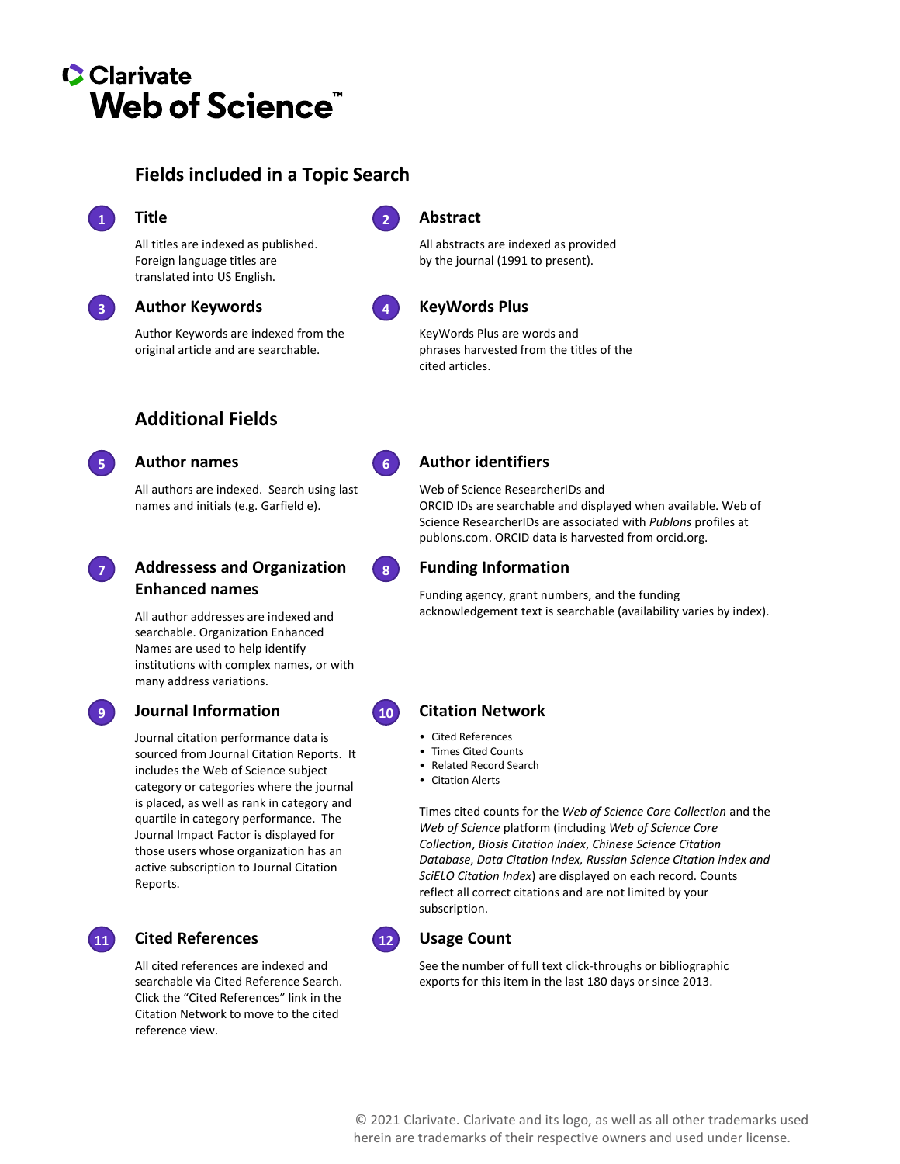# **C** Clarivate **Web of Science<sup>"</sup>**

# **Fields included in a Topic Search**



#### **Title 1 2**

All titles are indexed as published. Foreign language titles are translated into US English.

### **Author Keywords**

Author Keywords are indexed from the original article and are searchable.

# **Additional Fields**



### **Author names 5 6**

All authors are indexed. Search using last names and initials (e.g. Garfield e).



#### **Addressess and Organization Enhanced names**

All author addresses are indexed and searchable. Organization Enhanced Names are used to help identify institutions with complex names, or with many address variations.

## **Journal Information 9 10**

Journal citation performance data is sourced from Journal Citation Reports. It includes the Web of Science subject category or categories where the journal is placed, as well as rank in category and quartile in category performance. The Journal Impact Factor is displayed for those users whose organization has an active subscription to Journal Citation Reports.



## **Cited References 11 12**

All cited references are indexed and searchable via Cited Reference Search. Click the "Cited References" link in the Citation Network to move to the cited reference view.



### **Abstract**

All abstracts are indexed as provided by the journal (1991 to present).



#### **KeyWords Plus**

KeyWords Plus are words and phrases harvested from the titles of the cited articles.



#### **Author identifiers**

Web of Science ResearcherIDs and ORCID IDs are searchable and displayed when available. Web of Science ResearcherIDs are associated with *Publons* profiles at publons.com. ORCID data is harvested from orcid.org.

### **Funding Information**

Funding agency, grant numbers, and the funding acknowledgement text is searchable (availability varies by index).

### **Citation Network**

- Cited References
- Times Cited Counts
- Related Record Search
- Citation Alerts

Times cited counts for the *Web of Science Core Collection* and the *Web of Science* platform (including *Web of Science Core Collection*, *Biosis Citation Index*, *Chinese Science Citation Database*, *Data Citation Index, Russian Science Citation index and SciELO Citation Index*) are displayed on each record. Counts reflect all correct citations and are not limited by your subscription.



#### **Usage Count**

See the number of full text click-throughs or bibliographic exports for this item in the last 180 days or since 2013.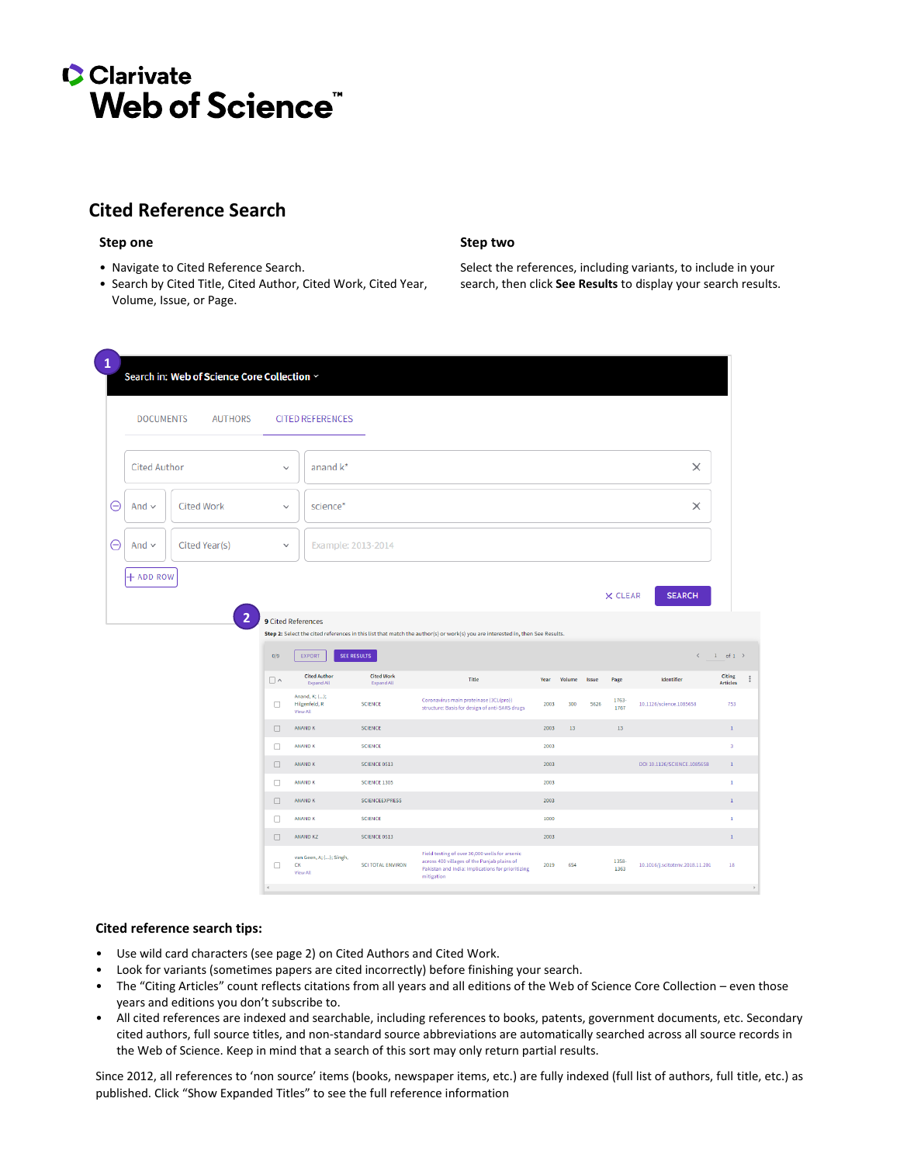# **C**Clarivate Web of Science<sup>"</sup>

# **Cited Reference Search**

#### **Step one Step two**

- Navigate to Cited Reference Search.
- Search by Cited Title, Cited Author, Cited Work, Cited Year, Volume, Issue, or Page.

Select the references, including variants, to include in your search, then click **See Results** to display your search results.

| $\mathbf{1}$ | Search in: Web of Science Core Collection ~<br><b>DOCUMENTS</b><br><b>AUTHORS</b> |                           | <b>CITED REFERENCES</b>                    |                                 |                                                                                                                                                                  |      |                 |      |               |                                 |                         |  |
|--------------|-----------------------------------------------------------------------------------|---------------------------|--------------------------------------------|---------------------------------|------------------------------------------------------------------------------------------------------------------------------------------------------------------|------|-----------------|------|---------------|---------------------------------|-------------------------|--|
|              | <b>Cited Author</b>                                                               | $\checkmark$              | anand k*                                   |                                 |                                                                                                                                                                  |      |                 |      |               | $\times$                        |                         |  |
| ⊖            | <b>Cited Work</b><br>And $\sim$<br>science*<br>$\checkmark$                       |                           |                                            |                                 |                                                                                                                                                                  |      |                 |      |               |                                 |                         |  |
| Θ            | Cited Year(s)<br>And $\sim$                                                       | Example: 2013-2014<br>v   |                                            |                                 |                                                                                                                                                                  |      |                 |      |               |                                 |                         |  |
|              | + ADD ROW<br>2                                                                    | <b>9 Cited References</b> |                                            |                                 |                                                                                                                                                                  |      |                 |      | X CLEAR       | <b>SEARCH</b>                   |                         |  |
|              |                                                                                   | 0/9                       | EXPORT                                     | <b>SEE RESULTS</b>              | Step 2: Select the cited references in this list that match the author(s) or work(s) you are interested in, then See Results.                                    |      |                 |      |               | $\prec$                         | $1$ of $1$ >            |  |
|              |                                                                                   | $\Box \land$              | <b>Cited Author</b><br>Expand All          | <b>Cited Work</b><br>Expand All | Title                                                                                                                                                            | Year | Volume Issue    |      | Page          | <b>Identifier</b>               | Citing<br>Articles      |  |
|              |                                                                                   | $\Box$                    | Anand, K; ();<br>Hilgenfeld, R<br>View All | <b>SCIENCE</b>                  | Coronavirus main proteinase (3CL(pro))<br>structure: Basis for design of anti-SARS drugs                                                                         | 2003 | 300             | 5626 | 1763-<br>1767 | 10.1126/science.1085658         | 753                     |  |
|              |                                                                                   | $\Box$                    | <b>ANAND K</b>                             | SCIENCE                         |                                                                                                                                                                  | 2003 | 13 <sup>°</sup> |      | 13            |                                 | $\mathbf{1}$            |  |
|              |                                                                                   | $\Box$                    | <b>ANAND K</b>                             | <b>SCIENCE</b>                  |                                                                                                                                                                  | 2003 |                 |      |               |                                 | $\overline{\mathbf{3}}$ |  |
|              |                                                                                   | $\Box$                    | <b>ANAND K</b>                             | SCIENCE 0513                    |                                                                                                                                                                  | 2003 |                 |      |               | DOI 10.1126/SCIENCE.1085658     | $\mathbf{1}$            |  |
|              |                                                                                   | $\Box$                    | <b>ANAND K</b>                             | <b>SCIENCE 1305</b>             |                                                                                                                                                                  | 2003 |                 |      |               |                                 | $\mathbf 1$             |  |
|              |                                                                                   | $\Box$                    | ANAND K                                    | <b>SCIENCEEXPRESS</b>           |                                                                                                                                                                  | 2003 |                 |      |               |                                 | $1^{\circ}$             |  |
|              |                                                                                   | $\Box$                    | ANAND K                                    | <b>SCIENCE</b>                  |                                                                                                                                                                  | 1000 |                 |      |               |                                 | $\mathbf{1}$            |  |
|              |                                                                                   | $\Box$                    | <b>ANAND KZ</b>                            | SCIENCE 0513                    |                                                                                                                                                                  | 2003 |                 |      |               |                                 | $\mathbf{1}$            |  |
|              |                                                                                   | $\Box$                    | van Geen, A; (); Singh,<br>CK<br>View All  | <b>SCI TOTAL ENVIRON</b>        | Field testing of over 30,000 wells for arsenic<br>across 400 villages of the Punjab plains of<br>Pakistan and India: Implications for prioritizing<br>mitigation | 2019 | 654             |      | 1358-<br>1363 | 10.1016/j.scitotenv.2018.11.201 | 18                      |  |
|              |                                                                                   | $\epsilon$                |                                            |                                 |                                                                                                                                                                  |      |                 |      |               |                                 |                         |  |

#### **Cited reference search tips:**

- Use wild card characters (see page 2) on Cited Authors and Cited Work.
- Look for variants (sometimes papers are cited incorrectly) before finishing your search.
- The "Citing Articles" count reflects citations from all years and all editions of the Web of Science Core Collection even those years and editions you don't subscribe to.
- All cited references are indexed and searchable, including references to books, patents, government documents, etc. Secondary cited authors, full source titles, and non-standard source abbreviations are automatically searched across all source records in the Web of Science. Keep in mind that a search of this sort may only return partial results.

Since 2012, all references to 'non source' items (books, newspaper items, etc.) are fully indexed (full list of authors, full title, etc.) as published. Click "Show Expanded Titles" to see the full reference information